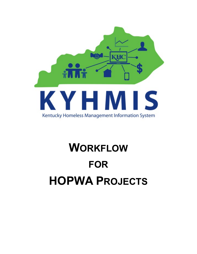

# **WORKFLOW FOR HOPWA PROJECTS**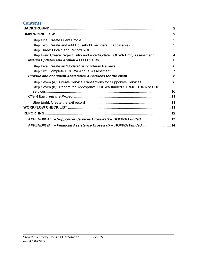## **Contents**

| Step Four: Create Project Entry and enter/update HOPWA Entry Assessment 4 |  |
|---------------------------------------------------------------------------|--|
|                                                                           |  |
|                                                                           |  |
|                                                                           |  |
|                                                                           |  |
|                                                                           |  |
| Step Seven (b): Record the Appropriate HOPWA funded STRMU, TBRA or PHP    |  |
|                                                                           |  |
|                                                                           |  |
|                                                                           |  |
|                                                                           |  |
|                                                                           |  |
| APPENDIX A: - Supportive Services Crosswalk - HOPWA Funded13              |  |
| APPENDIX B: - Financial Assistance Crosswalk - HOPWA Funded14             |  |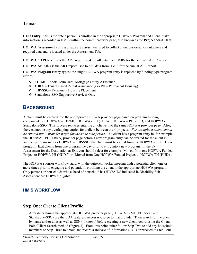# **TERMS**

**HUD Entry** - this is the date a person is enrolled in the appropriate HOPWA Program and client intake information is recorded in HMIS within the correct provider page, also known as the **Project Start Date**.

**HOPWA Assessment** - this is a separate assessment used to collect client performance outcomes and required data and is located under the Assessment Tab.

**HOPWA CAPER -** this is the ART report used to pull data from HMIS for the annual CAPER report.

**HOPWA APR-**this is the ART report used to pull data from HMIS for the annual APR report

**HOPWA Program Entry types:** the single HOPWA program entry is replaced by funding type program entries.

- ❖ STRMU Short Term Rent, Mortgage Utility Assistance
- TBRA Tenant Based Rental Assistance (aka PH Permanent Housing)
- PHP-SSO Permanent Housing Placement
- Standalone-SSO-Supportive Services Only

# <span id="page-2-0"></span>**BACKGROUND**

A client must be entered into the appropriate HOPWA provider page based on program funding component: i.e. HOPWA – STRMU, HOPWA - PH (TBRA), HOPWA – PHP-SSO, and HOPWA-Standalone-SSO. This process replaces entering all clients into the same HOPWA provider page. Also, there cannot be any overlapping entries for a client between the 4 projects. *For example, a client cannot be entered into 2 provider pages for the same time period.* If a client has a program entry in, for example, the HOPWA – PH (TBRA) provider page before a new program entry can be created for the client in another program such as HOPWA – PHP-SSO, the client must be exited from the HOPWA – PH (TBRA) program. Exit clients from one program the day prior to entry into a new program. In the Exit Assessment for the Destination at Exit you should select for example "Moved from one HOPWA Funded Project to HOPWA PH (HUD)" or "Moved from One HOPWA Funded Project to HOPWA TH (HUD)".

The HOPWA sponsor workflow starts with the outreach worker meeting with a potential client one or more times prior to engaging and potentially enrolling the client in the appropriate HOPWA program. Only persons or households whose head of household has HIV/AIDS indicated in Disability Sub Assessment are HOPWA eligible.

#### <span id="page-2-1"></span>**HMIS WORKFLOW**

#### <span id="page-2-2"></span>**Step One: Create Client Profile**

After determining the appropriate HOPWA provider page (TBRA, STRMU, PHP-SSO and Standalone-SSO) use the EDA feature if necessary, to go to that provider. Then search for the client by name and/or alias as well as SSN (if known) before creating a new client record using the Client Point/Client Search method (Figure 1). From this point either follow Step Two to add any household members or Step Three to obtain and record a Release of Information (ROI) or proceed to Step Four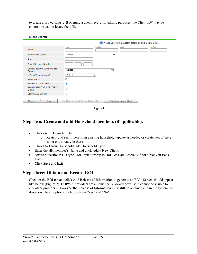to create a project Entry. If opening a client record for editing purposes, the Client ID# may be entered instead to locate their file.

|                                             | Please Search the System before adding a New Client.         |               |
|---------------------------------------------|--------------------------------------------------------------|---------------|
| Name                                        | Middle<br><b>First</b><br>Last                               | <b>Suffix</b> |
| Name Data Quality                           | -Select-<br>$\checkmark$                                     |               |
| <b>Alias</b>                                |                                                              |               |
| Social Security Number                      |                                                              |               |
| Social Security Number Data<br>Quality      | -Select-<br>v                                                |               |
| U.S. Military Veteran?                      | -Select-<br>$\checkmark$                                     |               |
| <b>Exact Match</b>                          | □                                                            |               |
| Search ACTIVE Clients                       | ◉                                                            |               |
| Search INACTIVE / DELETED<br><b>Clients</b> |                                                              |               |
| Search ALL Clients                          |                                                              |               |
| <b>Search</b><br>Clear                      | Add New Client With This Information<br>Add Anonymous Client |               |

**Figure 1** 

## <span id="page-3-0"></span>**Step Two: Create and add Household members (if applicable).**

- Click on the Household tab
	- o Review and see if there is an existing household, update as needed or create new if there is not one already in there
- Click Start New Household, add Household Type
- Enter the HH member's Name and click Add a New Client.
- Answer questions: HH type, HoH, relationship to HoH, & Date Entered (if not already in Back Date)
- Click Save and Exit

#### <span id="page-3-1"></span>**Step Three: Obtain and Record ROI**

Click on the ROI tab and click Add Release of Information to generate an ROI. Screen should appear like below (Figure 2). HOPWA providers are automatically locked down so it cannot be visible to any other providers. However, the Release of Information must still be obtained and in the system the drop down has 2 options to choose from **'Yes' and 'No'**.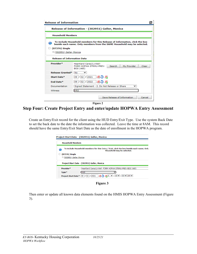| <b>Release of Information</b>            |                                                                                                                                                        |  |
|------------------------------------------|--------------------------------------------------------------------------------------------------------------------------------------------------------|--|
|                                          | Release of Information - (302951) Geller, Monica                                                                                                       |  |
| <b>Household Members</b>                 |                                                                                                                                                        |  |
| (87376) Single<br>302951) Geller, Monica | To include Household members for this Release of Information, click the box<br>beside each name. Only members from the SAME Household may be selected. |  |
| <b>Release of Information Data</b>       |                                                                                                                                                        |  |
| Provider*                                | <b>Heartland Cares/LivWell-</b><br>My Provider<br>FORM HOPWA STRMU-PREV-<br>Search<br>Clear<br>BOS (485)                                               |  |
| <b>Release Granted*</b>                  | No                                                                                                                                                     |  |
| Start Date*                              | 09 / 02 / 2021<br>あつ ぷ                                                                                                                                 |  |
| End Date*                                | 09 / 02 / 2022<br>あつ な                                                                                                                                 |  |
| Documentation                            | Signed Statement - 2. Do Not Release or Share                                                                                                          |  |
| Witness                                  | <b>KRS</b>                                                                                                                                             |  |
|                                          | Save Release of Information<br>Cancel                                                                                                                  |  |

**Figure 2** 

<span id="page-4-0"></span>**Step Four: Create Project Entry and enter/update HOPWA Entry Assessment** 

Create an Entry/Exit record for the client using the HUD Entry/Exit Type. Use the system Back Date to set the back date to the date the information was collected. Leave the time at 8AM. This record should have the same Entry/Exit Start Date as the date of enrollment in the HOPWA program.

| <b>Household Members</b>   |                                                                                                                        |
|----------------------------|------------------------------------------------------------------------------------------------------------------------|
|                            | To include Household members for this Entry / Exit, click the box beside each name. Only<br>Household may be selected. |
| (87376) Single             |                                                                                                                        |
| 302951) Geller, Monica     |                                                                                                                        |
|                            | Project Start Data - (302951) Geller, Monica                                                                           |
| Provider*                  | Heartland Cares/LivWell- FORM HOPWA STRMU-PREV-BOS (485)                                                               |
| Type*                      | <b>HUD</b>                                                                                                             |
| <b>Project Start Date*</b> | $\vee$ $\mid$ : $\mid$ 00 $\vee$ $\mid$ $\mid$ 00 $\vee$ $\mid$ $\mid$ AM $\vee$<br>$09$ $/$<br>2021                   |

**Figure 3**

Then enter or update all known data elements found on the HMIS HOPWA Entry Assessment (Figure 3).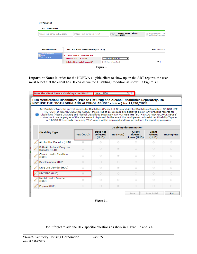| <b>Entry Assessment</b>            |                                                 |                                                           |                                                   |
|------------------------------------|-------------------------------------------------|-----------------------------------------------------------|---------------------------------------------------|
| <b>Select an Assessment</b>        |                                                 |                                                           |                                                   |
| BOS - HUD HOPWA Update (2020)      | BOS - HUD HOPWA Exit (2020)                     | <b>BOS - HUD HOPWA Entry All Other</b><br>Projects (2020) | <b>BOS-HUD COVID-19 V</b><br>and Status Assessmer |
|                                    |                                                 |                                                           |                                                   |
|                                    |                                                 |                                                           |                                                   |
| <b>Household Members</b>           | BOS - HUD HOPWA Entry All Other Projects (2020) |                                                           | Entry Date: 09/02/.                               |
| (302951) Geller, Monica<br>Age: 52 | <b>SECTION 1: ANSWER FOR ALL CLIENTS</b>        |                                                           |                                                   |
| Veteran: No (HUD)                  | <b>Client Location - CoC Code*</b>              | KY-500 Balance of State<br>$\vee$ $\mathsf{G}$            |                                                   |
|                                    | Relationship to Head of Household*              | Self (head of household)                                  | $\vee$ $\mathsf{G}$                               |
|                                    |                                                 | Figure 3                                                  |                                                   |

**Important Note:** In order for the HOPWA eligible client to show up on the ART reports, the user must select that the client has HIV/Aids via the Disabling Condition as shown in Figure 3.1

| Does the client have a disabling condition?                                                                                                                                                                                                                                                                                                                                                                                                                                                                                                                                                                 |            | Yes (HUD)                      |                | Y∣G                                    |                                   |                   |
|-------------------------------------------------------------------------------------------------------------------------------------------------------------------------------------------------------------------------------------------------------------------------------------------------------------------------------------------------------------------------------------------------------------------------------------------------------------------------------------------------------------------------------------------------------------------------------------------------------------|------------|--------------------------------|----------------|----------------------------------------|-----------------------------------|-------------------|
| HUD Verification: Disabilities (Please List Drug and Alcohol Disabilities Separately. DO<br>NOT USE THE "BOTH DRUG AND ALCOHOL ABUSE" choice.) for 11/30/2021                                                                                                                                                                                                                                                                                                                                                                                                                                               |            |                                |                |                                        |                                   |                   |
| Per Disability Type, the current records for Disabilities (Please List Drug and Alcohol Disabilities Separately, DO NOT USE<br>THE "BOTH DRUG AND ALCOHOL ABUSE" choice.) as of 11/30/2021 are displayed below. Any previous records for<br>Disabilities (Please List Drug and Alcohol Disabilities Separately, DO NOT USE THE "BOTH DRUG AND ALCOHOL ABUSE"<br>choice.) not overlapping as of this date are not displayed. In the event that multiple records exist per Disability Type as<br>of 11/30/2021, records containing "Yes" values will be displayed and take precedence for reporting purposes. |            |                                |                |                                        |                                   |                   |
|                                                                                                                                                                                                                                                                                                                                                                                                                                                                                                                                                                                                             |            |                                |                | <b>Disability determination</b>        |                                   |                   |
| <b>Disability Type</b>                                                                                                                                                                                                                                                                                                                                                                                                                                                                                                                                                                                      | Yes (HUD)  | Data not<br>collected<br>(HUD) | No (HUD)       | <b>Client</b><br>doesn't<br>know (HUD) | <b>Client</b><br>refused<br>(HUD) | <b>Incomplete</b> |
| Alcohol Use Disorder (HUD)                                                                                                                                                                                                                                                                                                                                                                                                                                                                                                                                                                                  | ®          | $\circ$                        | 0              | $\circ$                                | $\circ$                           | $\circ$           |
| Both Alcohol and Drug Use<br>Disorder (HUD)                                                                                                                                                                                                                                                                                                                                                                                                                                                                                                                                                                 | $\circ$    | $\circ$                        | $\circ$        | $\circ$                                | $\circ$                           | $\circ$           |
| Chronic Health Condition<br>(HUD)                                                                                                                                                                                                                                                                                                                                                                                                                                                                                                                                                                           | $\circ$    | $\circ$                        | ⋒              | 0                                      | ⊙                                 | 0                 |
| Developmental (HUD)                                                                                                                                                                                                                                                                                                                                                                                                                                                                                                                                                                                         | $^{\circ}$ | $\circ$                        | 0              | $\circ$                                | $\circ$                           | $\circ$           |
| Drug Use Disorder (HUD)                                                                                                                                                                                                                                                                                                                                                                                                                                                                                                                                                                                     | $\circ$    | $\circ$                        | $\circledcirc$ | $\circ$                                | $\circ$                           | 0                 |
| HIV/AIDS (HUD)                                                                                                                                                                                                                                                                                                                                                                                                                                                                                                                                                                                              | ◉          | $\circ$                        | $\circ$        | $\circ$                                | $\circ$                           | $\circ$           |
| Mental Health Disorder<br>(HUD)                                                                                                                                                                                                                                                                                                                                                                                                                                                                                                                                                                             | $^{\circ}$ | $\circ$                        | 0              | 0                                      | $\circ$                           | 0                 |
| Physical (HUD)                                                                                                                                                                                                                                                                                                                                                                                                                                                                                                                                                                                              | $\circ$    | $\circ$                        | $^{\circ}$     | $\circ$                                | $\circ$                           | $\circ$           |
|                                                                                                                                                                                                                                                                                                                                                                                                                                                                                                                                                                                                             |            |                                |                | Save                                   | Save & Exit                       | Exit              |



Don't forget to add the HIV specific questions as show in Figure 3.3 and 3.4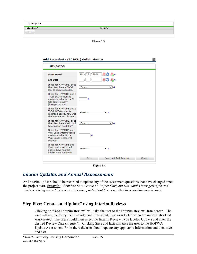| <b>HIV/AIDS</b> |                 |  |
|-----------------|-----------------|--|
| Start Date*     | <b>End Date</b> |  |
| Add             |                 |  |
|                 |                 |  |

**Figure 3.3**

| Add Recordset - (302951) Geller, Monica<br><b>HIV/AIDS</b>                                                               |                                       |        |
|--------------------------------------------------------------------------------------------------------------------------|---------------------------------------|--------|
| Start Date*                                                                                                              | あつ あく<br>2021<br>128<br>$10$  /       |        |
| <b>End Date</b>                                                                                                          | <b>オコ なら</b>                          |        |
| If Yes for HIV/AIDS, does<br>the client have a T-Cell<br>(CD4) count available?                                          | -Select-<br>M∣G                       |        |
| If Yes for HIV/AIDS and a<br>T-Cell (CD4) count is<br>available, what is the T-<br>Cell (CD4) count?<br>[integer 0-1500] | G                                     |        |
| If Yes for HIV/AIDS and a<br>T-Cell (CD4) count is<br>recorded above, how was<br>the information obtained?               | -Select-<br>◡<br>G                    |        |
| If Yes for HIV/AIDS, does<br>the client have Viral Load<br>Information available?                                        | -Select-<br>$\mathbf{v}$ $\mathbf{G}$ |        |
| If Yes for HIV/AIDS and<br>Viral Load Information is<br>available, what is the<br>Viral Load? [integer 0-<br>9999991     | G                                     |        |
| If Yes for HIV/AIDS and<br>Viral Load is recorded<br>above, how was the<br>information obtained?                         | -Select-<br>$\vee$ G                  |        |
|                                                                                                                          | Save and Add Another<br>Save          | Cancel |

**Figure 3.4**

#### <span id="page-6-0"></span>*Interim Updates and Annual Assessments*

An **Interim update** should be recorded to update any of the assessment questions that have changed since the project start. *Example: Client has zero income at Project Start, but two months later gets a job and starts receiving earned income. An Interim update should be completed to record the new income.*

#### <span id="page-6-1"></span>**Step Five: Create an "Update" using Interim Reviews**

Clicking on "**Add Interim Review**" will take the user to the **Interim Review Data** Screen. The user will see the Entry/Exit Provider and Entry/Exit Type as selected when the initial Entry/Exit was created. The user should then select the Interim Review Type labeled **Update** and enter the desired Review Date (Figure 4). Clicking Save and Exit will take the user to the HOPWA Update Assessment. From there the user should update any applicable information and then save and exit.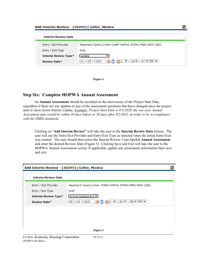| <b>Interim Review Data</b>  |                                                         |
|-----------------------------|---------------------------------------------------------|
| Entry / Exit Provider       | Heartland Cares/LivWell-COMP HOPWA STRMU-PREV-BOS (484) |
| Entry / Exit Type           | <b>HUD</b>                                              |
| <b>Interim Review Type*</b> | <b>Update</b>                                           |
| Review Date*                |                                                         |



#### <span id="page-7-0"></span>**Step Six: Complete HOPWA Annual Assessment**

 An **Annual Assessment** should be recorded on the anniversary of the Project Start Date, regardless if there are any updates to any of the assessment questions that have changed since the project start or most recent Interim Update. *Example: Project Start Date is 9/2/2020, the one-year Annual Assessment date would be within 30 days before or 30 days after 9/2/2021, in order to be in compliance with the HMIS standards.* 

Clicking on "**Add Interim Review"** will take the user to the **Interim Review Data** Screen. The user will see the Entry/Exit Provider and Entry/Exit Type as selected when the initial Entry/Exit was created. The user should then select the Interim Review Type labeled **Annual Assessment** and enter the desired Review Date (Figure 5). Clicking Save and Exit will take the user to the HOPWA Annual Assessment screen. If applicable, update any assessment information then save and exit.

|                             | Add Interim Review - (302951) Geller, Monica                       |  |
|-----------------------------|--------------------------------------------------------------------|--|
| <b>Interim Review Data</b>  |                                                                    |  |
| Entry / Exit Provider       | Heartland Cares/LivWell- FORM HOPWA STRMU-PREV-BOS (485)           |  |
| Entry / Exit Type           | <b>HUD</b>                                                         |  |
| <b>Interim Review Type*</b> | Annual Assessment V                                                |  |
| <b>Review Date*</b>         | 09  / 15  / 2021   27   2 $\vee$ : 51 $\vee$ : 56 $\vee$ PM $\vee$ |  |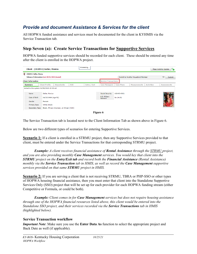# <span id="page-8-0"></span>*Provide and document Assistance & Services for the client*

All HOPWA funded assistance and services must be documented for the client in KYHMIS via the Service Transaction tab.

#### <span id="page-8-1"></span>**Step Seven (a): Create Service Transactions for Supportive Services**

HOPWA funded supportive services should be recorded for each client. These should be entered any time after the client is enrolled in the HOPWA project.



The Service Transaction tab is located next to the Client Information Tab as shown above in Figure 6.

Below are two different types of scenarios for entering Supportive Services.

**Scenario 1:** If a client is enrolled in a STRMU project, then any Supportive Services provided to that client, must be entered under the Service Transactions for that corresponding STRMU project.

*Example: A client receives financial assistance of Rental Assistance through the STRMU project, and you are also providing monthly Case Management services. You would key that client into the STRMU project on the Entry/Exit tab and record both the Financial Assistance (Rental Assistance) monthly via the Service Transaction tab in HMIS, as well as record the Case Management supportive services provided on that same STRMU project in HMIS.* 

**Scenario 2:** If you are serving a client that is not receiving STRMU, TBRA or PHP-SSO or other types of HOPWA housing financial assistance, then you must enter that client into the Standalone Supportive Services Only (SSO) project that will be set up for each provider for each HOPWA funding stream (either Competitive or Formula, or could be both).

*Example: Client comes in for Case Management services but does not require housing assistance through one of the HOPWA financial resources listed above, this client would be entered into the Standalone SSO project, and their services recorded via the Service Transactions tab in HMIS (highlighted below).*

#### **Service Transaction workflow**

*Important Note*: Make sure you use the **Enter Data As** function to select the appropriate project and Back Date as well (if applicable).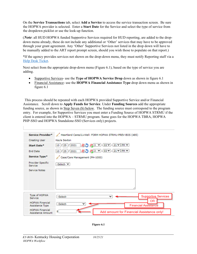On the **Service Transactions** tab, select **Add a Service** to access the service transaction screen. Be sure the HOPWA provider is selected. Enter a **Start Date** for the Service and select the type of service from the dropdown picklist or use the look-up function.

(*Note*: all HUD HOPWA funded Supportive Services required for HUD reporting, are added to the dropdown menu already, these do not include any additional or 'Other' services that may have to be approved through your grant agreement. Any 'Other' Supportive Services not listed in the drop down will have to be manually added to the ART report prompt screen, should you wish those to populate on that report.)

\*If the agency provides services not shown on the drop-down menu, they must notify Reporting staff via a [Help Desk Ticket.](https://kyhmis.zendesk.com/hc/en-us/requests/new)

Next select from the appropriate drop-down menu (Figure 6.1), based on the type of service you are adding.

- Supportive Services- use the **Type of HOPWA Service Drop** down as shown in figure 6.1
- Financial Assistance- use the **HOPWA Financial Assistance Type** drop down menu as shown in figure 6.1

 This process should be repeated with each HOPWA provided Supportive Service and/or Financial Assistance. Scroll down to **Apply Funds for Service**. Under **Funding Sources** add the appropriate funding source, as shown in Step Seven (b) below. The funding source must correspond to the program entry. For example, for Supportive Services you must enter a Funding Source of HOPWA STRMU if the client is entered into the HOPWA – STRMU program. Same goes for the HOPWA TBRA, HOPWA PHP-SSO and HOPWA Standalone-SSO (Services only) projects.

| Service Provider*                           | Heartland Cares/LivWell- FORM HOPWA STRMU-PREV-BOS (485)     |
|---------------------------------------------|--------------------------------------------------------------|
| <b>Creating User</b>                        | Kayla Sexton                                                 |
| Start Date*                                 | 初 3 ∨ : 03 ∨ : 21 ∨ PM ∨<br>2021<br> 25 /<br>10              |
| <b>End Date</b>                             | 初○ 初3 ∨: 03∨: 21∨ PM ∨<br>25/<br>2021<br>$10$ $\frac{1}{2}$  |
| Service Type*                               | Case/Care Management (PH-1000)                               |
| Provider Specific<br>Service                | -Select- V                                                   |
| <b>Service Notes</b>                        |                                                              |
| Type of HOPWA<br>Service                    | <b>Supportive Services</b><br>-Select-<br>$\checkmark$       |
| <b>HOPWA Financial</b><br>Assistance Type   | ΟR<br>-Select-<br>$\check{ }$<br><b>Financial Assistance</b> |
| <b>HOPWA Financial</b><br>Assistance Amount | \$<br>Add amount for Financial Assistance only!              |

**Figure 6.1**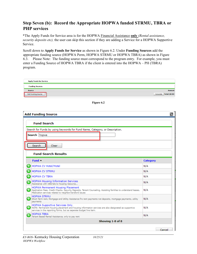#### <span id="page-10-0"></span>**Step Seven (b): Record the Appropriate HOPWA funded STRMU, TBRA or PHP services**

\*The Apply Funds for Service area is for the HOPWA Financial Assistance **only** *(Rental assistance, security deposits etc),* the user can skip this section if they are adding a Service for a HOPWA Supportive Service.

Scroll down to **Apply Funds for Service** as shown in Figure 6.2. Under **Funding Sources** add the appropriate funding source (HOPWA Perm, HOPWA STRMU or HOPWA TBRA) as shown in Figure 6.3. Please Note: The funding source must correspond to the program entry. For example, you must enter a Funding Source of HOPWA TBRA if the client is entered into the HOPWA – PH (TBRA) program.

| <b>Funding Sources</b><br><b>Source</b><br>Add Funding Source<br>Figure 6.2<br><b>Add Funding Source</b>                                                                                                            | <b>Amount</b><br>Calculate Total: \$0.00 |
|---------------------------------------------------------------------------------------------------------------------------------------------------------------------------------------------------------------------|------------------------------------------|
|                                                                                                                                                                                                                     |                                          |
|                                                                                                                                                                                                                     |                                          |
|                                                                                                                                                                                                                     |                                          |
|                                                                                                                                                                                                                     |                                          |
|                                                                                                                                                                                                                     | æ                                        |
|                                                                                                                                                                                                                     |                                          |
| <b>Fund Search</b>                                                                                                                                                                                                  |                                          |
| Search for Funds by using keywords for Fund Name, Category, or Description.                                                                                                                                         |                                          |
| Search hopwa                                                                                                                                                                                                        |                                          |
|                                                                                                                                                                                                                     |                                          |
| Search<br>Clear                                                                                                                                                                                                     |                                          |
| <b>Fund Search Results</b>                                                                                                                                                                                          |                                          |
|                                                                                                                                                                                                                     |                                          |
| Fund $\triangle$                                                                                                                                                                                                    | <b>Category</b>                          |
| HOPWA CV Hotel/Motel                                                                                                                                                                                                | N/A                                      |
| HOPWA CV STRMU                                                                                                                                                                                                      | N/A                                      |
| <b>HOPWA CV TBRA</b>                                                                                                                                                                                                | N/A                                      |
| <b>HOPWA Housing Information Services</b><br>Assistance with referrals to housing resource                                                                                                                          | N/A                                      |
| HOPWA Permanent Housing Placement<br>Application Fees, Credit Checks, Security Deposits, Tenant Counseling, Assisting families to understand leases,<br>Medicaiton services related to neighbor/landlord issues     | N/A                                      |
| <b>HOPWA STRMU</b><br>Short Term rent, Mortgage and Utility Assistance fro rent payments not deposits, mortgage payments, utility<br>payments                                                                       | N/A                                      |
| <b>HOPWA Supportive Services Only</b><br>NOTE: Permanent housing placement and housing information services are also designated as supportive<br>services in the reporting forms, but as seperate budget line item. | N/A                                      |
| <b>HOPWA TBRA</b><br>Tenant Based Rental Assistance, only to pay rent                                                                                                                                               | N/A                                      |
| Showing 1-8 of 8                                                                                                                                                                                                    |                                          |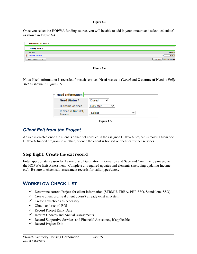#### **Figure 6.3**

Once you select the HOPWA funding source, you will be able to add in your amount and select 'calculate' as shown in Figure 6.4.





Note: Need information is recorded for each service. **Need status** is *Closed* and **Outcome of Need** is *Fully Met* as shown in Figure 6.5.

| Closed           |  |
|------------------|--|
| <b>Fully Met</b> |  |
| -Select-         |  |
|                  |  |

#### **Figure 6.5**

## <span id="page-11-0"></span>*Client Exit from the Project*

An exit is created once the client is either not enrolled in the assigned HOPWA project, is moving from one HOPWA funded program to another, or once the client is housed or declines further services.

#### <span id="page-11-1"></span>**Step Eight: Create the exit record**

Enter appropriate Reason for Leaving and Destination information and Save and Continue to proceed to the HOPWA Exit Assessment. Complete all required updates and elements (including updating Income etc). Be sure to check sub-assessment records for valid types/dates.

## <span id="page-11-2"></span>**WORKFLOW CHECK LIST**

- Determine correct Project for client information (STRMU, TBRA, PHP-SSO, Standalone-SSO)
- $\checkmark$  Create client profile if client doesn't already exist in system
- $\checkmark$  Create households as necessary
- $\checkmark$  Obtain and record ROI
- $\checkmark$  Record Project Entry Date
- $\checkmark$  Interim Updates and Annual Assessments
- $\checkmark$  Record Supportive Services and Financial Assistance, if applicable
- $\checkmark$  Record Project Exit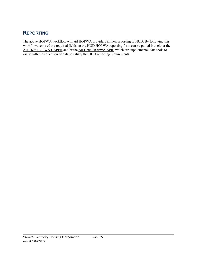# <span id="page-12-0"></span>**REPORTING**

The above HOPWA workflow will aid HOPWA providers in their reporting to HUD. By following this workflow, some of the required fields on the HUD HOPWA reporting form can be pulled into either the ART 603 HOPWA CAPER and/or the ART 604 HOPWA APR, which are supplemental data tools to assist with the collection of data to satisfy the HUD reporting requirements.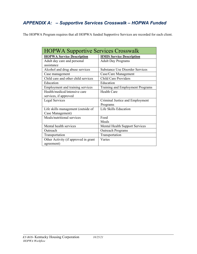# <span id="page-13-0"></span>*APPENDIX A: – Supportive Services Crosswalk – HOPWA Funded*

The HOPWA Program requires that all HOPWA funded Supportive Services are recorded for each client.

| <b>HOPWA Supportive Services Crosswalk</b> |                                        |  |  |  |  |
|--------------------------------------------|----------------------------------------|--|--|--|--|
| <b>HOPWA Service Description</b>           | <b>HMIS Service Description</b>        |  |  |  |  |
| Adult day care and personal                | <b>Adult Day Programs</b>              |  |  |  |  |
| assistance                                 |                                        |  |  |  |  |
| Alcohol and drug abuse services            | <b>Substance Use Disorder Services</b> |  |  |  |  |
| Case management                            | Case/Care Management                   |  |  |  |  |
| Child care and other child services        | <b>Child Care Providers</b>            |  |  |  |  |
| Education                                  | Education                              |  |  |  |  |
| Employment and training services           | Training and Employment Programs       |  |  |  |  |
| Health/medical/intensive care              | <b>Health Care</b>                     |  |  |  |  |
| services, if approved                      |                                        |  |  |  |  |
| Legal Services                             | Criminal Justice and Employment        |  |  |  |  |
|                                            | Programs                               |  |  |  |  |
| Life skills management (outside of         | Life Skills Education                  |  |  |  |  |
| Case Management)                           |                                        |  |  |  |  |
| Meals/nutritional services                 | Food                                   |  |  |  |  |
|                                            | Meals                                  |  |  |  |  |
| Mental health services                     | <b>Mental Health Support Services</b>  |  |  |  |  |
| Outreach                                   | <b>Outreach Programs</b>               |  |  |  |  |
| Transportation                             | Transportation                         |  |  |  |  |
| Other Activity (if approved in grant       | Varies                                 |  |  |  |  |
| agreement)                                 |                                        |  |  |  |  |